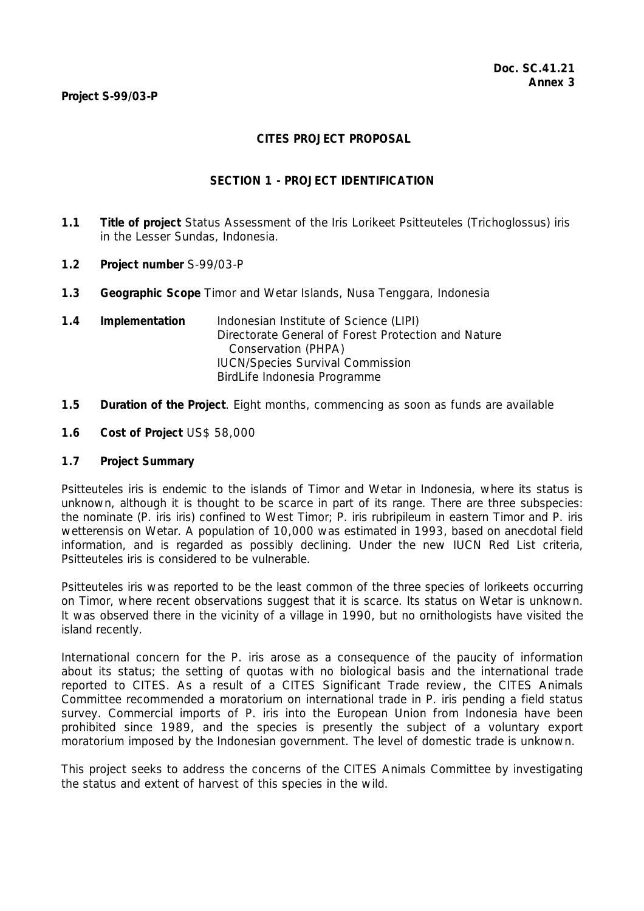# **CITES PROJECT PROPOSAL**

### **SECTION 1 - PROJECT IDENTIFICATION**

- **1.1 Title of project** Status Assessment of the Iris Lorikeet *Psitteuteles* (*Trichoglossus*) *iris* in the Lesser Sundas, Indonesia.
- **1.2 Project number** S-99/03-P
- **1.3 Geographic Scope** Timor and Wetar Islands, Nusa Tenggara, Indonesia
- **1.4 Implementation** Indonesian Institute of Science (LIPI) Directorate General of Forest Protection and Nature Conservation (PHPA) IUCN/Species Survival Commission BirdLife Indonesia Programme
- **1.5 Duration of the Project**. Eight months, commencing as soon as funds are available
- **1.6 Cost of Project** US\$ 58,000

### **1.7 Project Summary**

*Psitteuteles iris* is endemic to the islands of Timor and Wetar in Indonesia, where its status is unknown, although it is thought to be scarce in part of its range. There are three subspecies: the nominate (*P. iris iris*) confined to West Timor; *P. iris rubripileum* in eastern Timor and *P. iris wetterensis* on Wetar. A population of 10,000 was estimated in 1993, based on anecdotal field information, and is regarded as possibly declining. Under the new IUCN Red List criteria, *Psitteuteles iris* is considered to be vulnerable.

*Psitteuteles iris* was reported to be the least common of the three species of lorikeets occurring on Timor, where recent observations suggest that it is scarce. Its status on Wetar is unknown. It was observed there in the vicinity of a village in 1990, but no ornithologists have visited the island recently.

International concern for the *P. iris* arose as a consequence of the paucity of information about its status; the setting of quotas with no biological basis and the international trade reported to CITES. As a result of a CITES Significant Trade review, the CITES Animals Committee recommended a moratorium on international trade in *P. iris* pending a field status survey. Commercial imports of *P. iris* into the European Union from Indonesia have been prohibited since 1989, and the species is presently the subject of a voluntary export moratorium imposed by the Indonesian government. The level of domestic trade is unknown.

This project seeks to address the concerns of the CITES Animals Committee by investigating the status and extent of harvest of this species in the wild.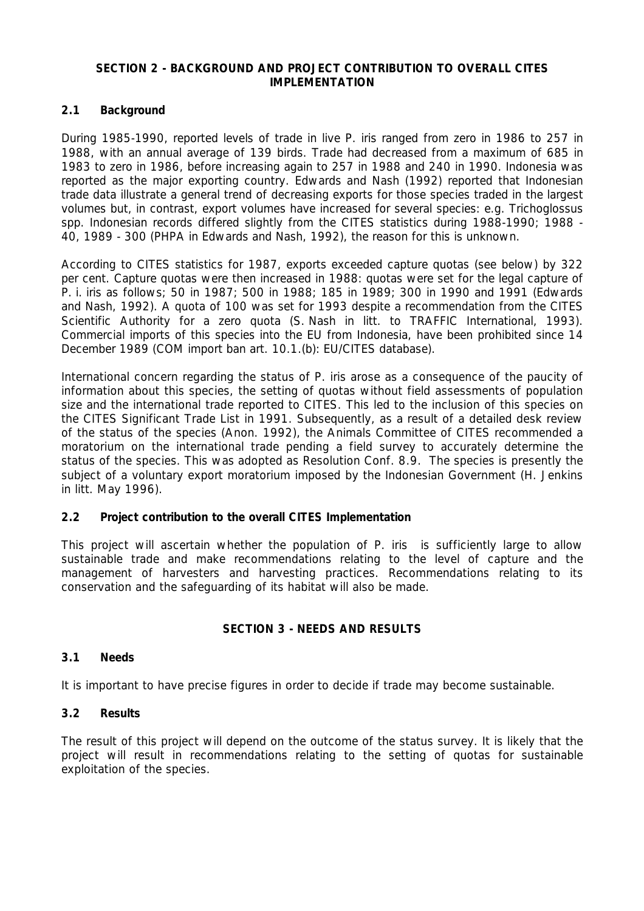### **SECTION 2 - BACKGROUND AND PROJECT CONTRIBUTION TO OVERALL CITES IMPLEMENTATION**

### **2.1 Background**

During 1985-1990, reported levels of trade in live *P. iris* ranged from zero in 1986 to 257 in 1988, with an annual average of 139 birds. Trade had decreased from a maximum of 685 in 1983 to zero in 1986, before increasing again to 257 in 1988 and 240 in 1990. Indonesia was reported as the major exporting country. Edwards and Nash (1992) reported that Indonesian trade data illustrate a general trend of decreasing exports for those species traded in the largest volumes but, in contrast, export volumes have increased for several species: e.g. *Trichoglossus* spp. Indonesian records differed slightly from the CITES statistics during 1988-1990; 1988 - 40, 1989 - 300 (PHPA in Edwards and Nash, 1992), the reason for this is unknown.

According to CITES statistics for 1987, exports exceeded capture quotas (see below) by 322 per cent. Capture quotas were then increased in 1988: quotas were set for the legal capture of *P. i. iris* as follows; 50 in 1987; 500 in 1988; 185 in 1989; 300 in 1990 and 1991 (Edwards and Nash, 1992). A quota of 100 was set for 1993 despite a recommendation from the CITES Scientific Authority for a zero quota (S. Nash *in litt.* to TRAFFIC International, 1993). Commercial imports of this species into the EU from Indonesia, have been prohibited since 14 December 1989 (COM import ban art. 10.1.(b): EU/CITES database).

International concern regarding the status of *P. iris* arose as a consequence of the paucity of information about this species, the setting of quotas without field assessments of population size and the international trade reported to CITES. This led to the inclusion of this species on the CITES Significant Trade List in 1991. Subsequently, as a result of a detailed desk review of the status of the species (Anon. 1992), the Animals Committee of CITES recommended a moratorium on the international trade pending a field survey to accurately determine the status of the species. This was adopted as Resolution Conf. 8.9. The species is presently the subject of a voluntary export moratorium imposed by the Indonesian Government (H. Jenkins *in litt*. May 1996).

### **2.2 Project contribution to the overall CITES Implementation**

This project will ascertain whether the population of *P. iris* is sufficiently large to allow sustainable trade and make recommendations relating to the level of capture and the management of harvesters and harvesting practices. Recommendations relating to its conservation and the safeguarding of its habitat will also be made.

### **SECTION 3 - NEEDS AND RESULTS**

### **3.1 Needs**

It is important to have precise figures in order to decide if trade may become sustainable.

### **3.2 Results**

The result of this project will depend on the outcome of the status survey. It is likely that the project will result in recommendations relating to the setting of quotas for sustainable exploitation of the species.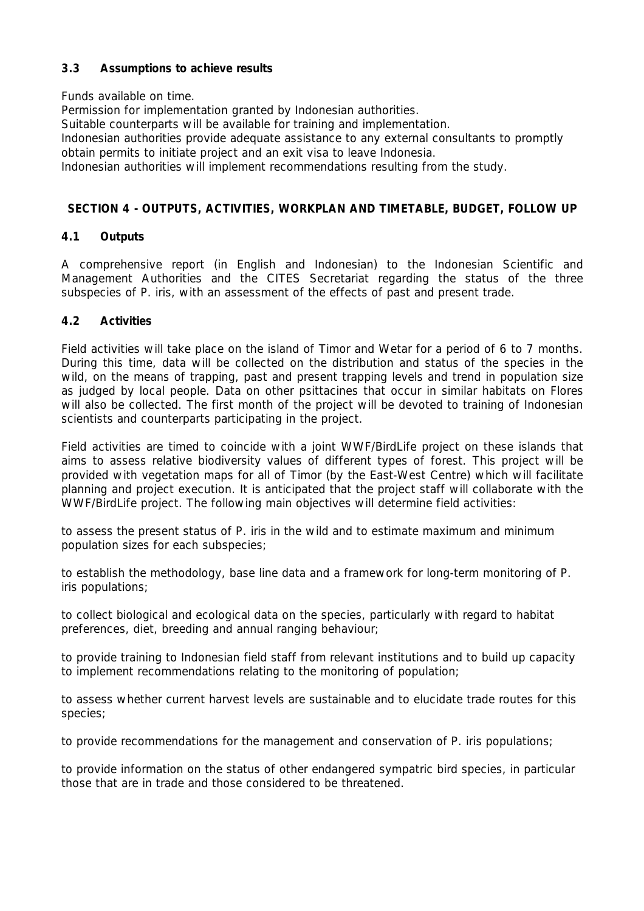# **3.3 Assumptions to achieve results**

Funds available on time.

Permission for implementation granted by Indonesian authorities.

Suitable counterparts will be available for training and implementation.

Indonesian authorities provide adequate assistance to any external consultants to promptly obtain permits to initiate project and an exit visa to leave Indonesia.

Indonesian authorities will implement recommendations resulting from the study.

# **SECTION 4 - OUTPUTS, ACTIVITIES, WORKPLAN AND TIMETABLE, BUDGET, FOLLOW UP**

# **4.1 Outputs**

A comprehensive report (in English and Indonesian) to the Indonesian Scientific and Management Authorities and the CITES Secretariat regarding the status of the three subspecies of *P. iris,* with an assessment of the effects of past and present trade.

# **4.2 Activities**

Field activities will take place on the island of Timor and Wetar for a period of 6 to 7 months. During this time, data will be collected on the distribution and status of the species in the wild, on the means of trapping, past and present trapping levels and trend in population size as judged by local people. Data on other psittacines that occur in similar habitats on Flores will also be collected. The first month of the project will be devoted to training of Indonesian scientists and counterparts participating in the project.

Field activities are timed to coincide with a joint WWF/BirdLife project on these islands that aims to assess relative biodiversity values of different types of forest. This project will be provided with vegetation maps for all of Timor (by the East-West Centre) which will facilitate planning and project execution. It is anticipated that the project staff will collaborate with the WWF/BirdLife project. The following main objectives will determine field activities:

to assess the present status of *P. iris* in the wild and to estimate maximum and minimum population sizes for each subspecies;

to establish the methodology, base line data and a framework for long-term monitoring of *P. iris* populations;

to collect biological and ecological data on the species, particularly with regard to habitat preferences, diet, breeding and annual ranging behaviour;

to provide training to Indonesian field staff from relevant institutions and to build up capacity to implement recommendations relating to the monitoring of population;

to assess whether current harvest levels are sustainable and to elucidate trade routes for this species;

to provide recommendations for the management and conservation of *P. iris* populations;

to provide information on the status of other endangered sympatric bird species, in particular those that are in trade and those considered to be threatened.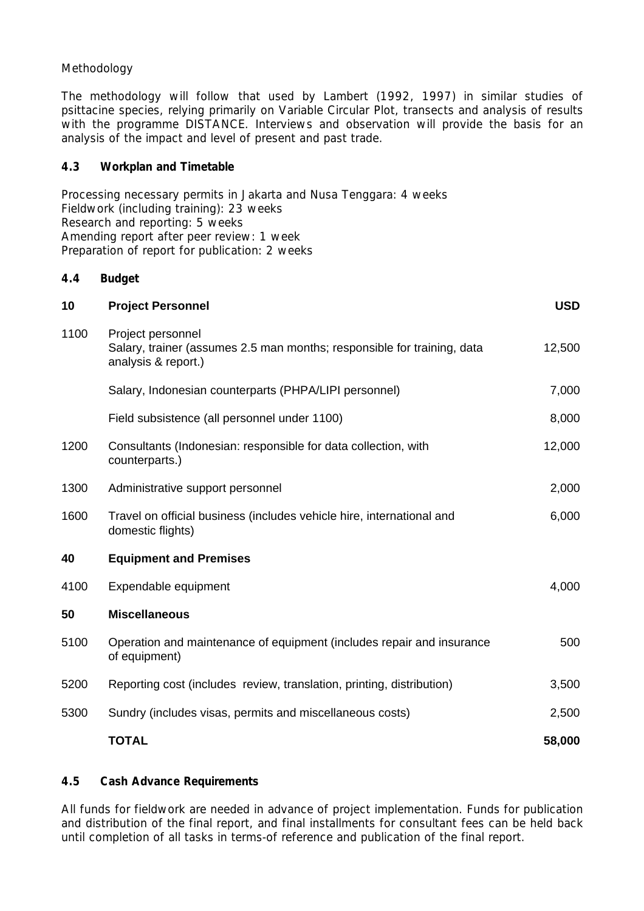# *Methodology*

The methodology will follow that used by Lambert (1992, 1997) in similar studies of psittacine species, relying primarily on Variable Circular Plot, transects and analysis of results with the programme DISTANCE. Interviews and observation will provide the basis for an analysis of the impact and level of present and past trade.

### **4.3 Workplan and Timetable**

Processing necessary permits in Jakarta and Nusa Tenggara: 4 weeks Fieldwork (including training): 23 weeks Research and reporting: 5 weeks Amending report after peer review: 1 week Preparation of report for publication: 2 weeks

# **4.4 Budget**

| 10   | <b>Project Personnel</b>                                                                                            | <b>USD</b> |
|------|---------------------------------------------------------------------------------------------------------------------|------------|
| 1100 | Project personnel<br>Salary, trainer (assumes 2.5 man months; responsible for training, data<br>analysis & report.) | 12,500     |
|      | Salary, Indonesian counterparts (PHPA/LIPI personnel)                                                               | 7,000      |
|      | Field subsistence (all personnel under 1100)                                                                        | 8,000      |
| 1200 | Consultants (Indonesian: responsible for data collection, with<br>counterparts.)                                    | 12,000     |
| 1300 | Administrative support personnel                                                                                    | 2,000      |
| 1600 | Travel on official business (includes vehicle hire, international and<br>domestic flights)                          | 6,000      |
| 40   | <b>Equipment and Premises</b>                                                                                       |            |
| 4100 | Expendable equipment                                                                                                | 4,000      |
| 50   | <b>Miscellaneous</b>                                                                                                |            |
| 5100 | Operation and maintenance of equipment (includes repair and insurance<br>of equipment)                              | 500        |
| 5200 | Reporting cost (includes review, translation, printing, distribution)                                               | 3,500      |
| 5300 | Sundry (includes visas, permits and miscellaneous costs)                                                            | 2,500      |
|      | <b>TOTAL</b>                                                                                                        | 58,000     |

### **4.5 Cash Advance Requirements**

All funds for fieldwork are needed in advance of project implementation. Funds for publication and distribution of the final report, and final installments for consultant fees can be held back until completion of all tasks in terms-of reference and publication of the final report.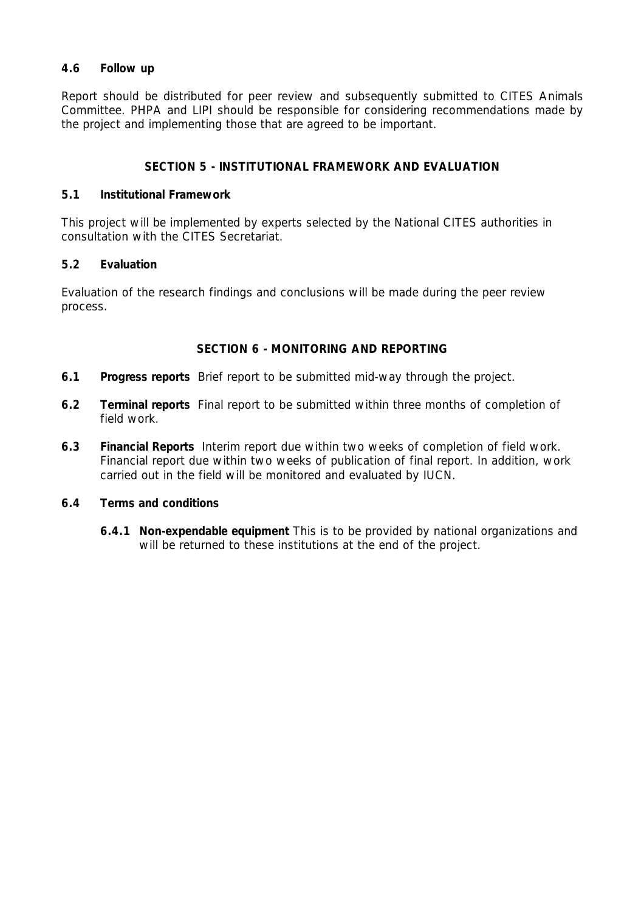# **4.6 Follow up**

Report should be distributed for peer review and subsequently submitted to CITES Animals Committee. PHPA and LIPI should be responsible for considering recommendations made by the project and implementing those that are agreed to be important.

### **SECTION 5 - INSTITUTIONAL FRAMEWORK AND EVALUATION**

#### **5.1 Institutional Framework**

This project will be implemented by experts selected by the National CITES authorities in consultation with the CITES Secretariat.

### **5.2 Evaluation**

Evaluation of the research findings and conclusions will be made during the peer review process.

### **SECTION 6 - MONITORING AND REPORTING**

- **6.1 Progress reports** Brief report to be submitted mid-way through the project.
- **6.2 Terminal reports** Final report to be submitted within three months of completion of field work.
- **6.3 Financial Reports** Interim report due within two weeks of completion of field work. Financial report due within two weeks of publication of final report. In addition, work carried out in the field will be monitored and evaluated by IUCN.

### **6.4 Terms and conditions**

 **6.4.1 Non-expendable equipment** This is to be provided by national organizations and will be returned to these institutions at the end of the project.